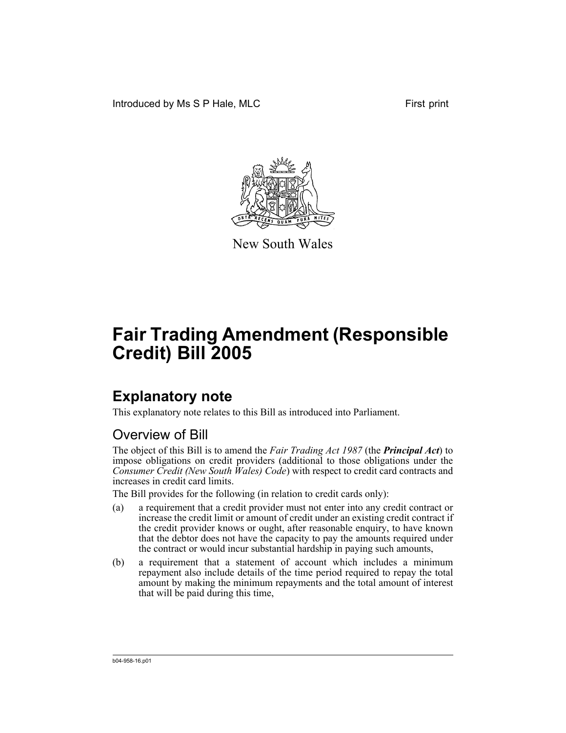Introduced by Ms S P Hale, MLC First print



New South Wales

# **Fair Trading Amendment (Responsible Credit) Bill 2005**

# **Explanatory note**

This explanatory note relates to this Bill as introduced into Parliament.

# Overview of Bill

The object of this Bill is to amend the *Fair Trading Act 1987* (the *Principal Act*) to impose obligations on credit providers (additional to those obligations under the *Consumer Credit (New South Wales) Code*) with respect to credit card contracts and increases in credit card limits.

The Bill provides for the following (in relation to credit cards only):

- (a) a requirement that a credit provider must not enter into any credit contract or increase the credit limit or amount of credit under an existing credit contract if the credit provider knows or ought, after reasonable enquiry, to have known that the debtor does not have the capacity to pay the amounts required under the contract or would incur substantial hardship in paying such amounts,
- (b) a requirement that a statement of account which includes a minimum repayment also include details of the time period required to repay the total amount by making the minimum repayments and the total amount of interest that will be paid during this time,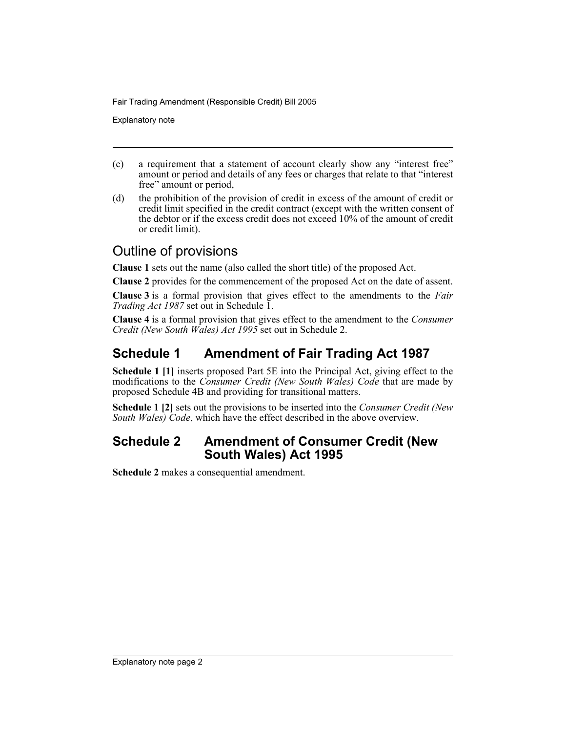Explanatory note

- (c) a requirement that a statement of account clearly show any "interest free" amount or period and details of any fees or charges that relate to that "interest free" amount or period,
- (d) the prohibition of the provision of credit in excess of the amount of credit or credit limit specified in the credit contract (except with the written consent of the debtor or if the excess credit does not exceed 10% of the amount of credit or credit limit).

## Outline of provisions

**Clause 1** sets out the name (also called the short title) of the proposed Act.

**Clause 2** provides for the commencement of the proposed Act on the date of assent.

**Clause 3** is a formal provision that gives effect to the amendments to the *Fair Trading Act 1987* set out in Schedule 1.

**Clause 4** is a formal provision that gives effect to the amendment to the *Consumer Credit (New South Wales) Act 1995* set out in Schedule 2.

## **Schedule 1 Amendment of Fair Trading Act 1987**

**Schedule 1 [1]** inserts proposed Part 5E into the Principal Act, giving effect to the modifications to the *Consumer Credit (New South Wales) Code* that are made by proposed Schedule 4B and providing for transitional matters.

**Schedule 1 [2]** sets out the provisions to be inserted into the *Consumer Credit (New South Wales) Code*, which have the effect described in the above overview.

### **Schedule 2 Amendment of Consumer Credit (New South Wales) Act 1995**

**Schedule 2** makes a consequential amendment.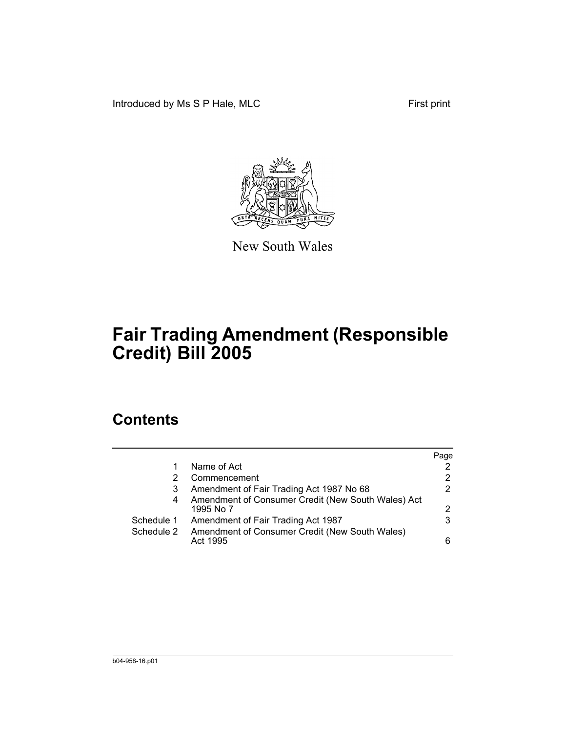Introduced by Ms S P Hale, MLC First print



New South Wales

# **Fair Trading Amendment (Responsible Credit) Bill 2005**

## **Contents**

|            |                                                                 | Page |
|------------|-----------------------------------------------------------------|------|
|            | Name of Act                                                     |      |
|            | Commencement                                                    | 2    |
| 3          | Amendment of Fair Trading Act 1987 No 68                        |      |
| 4          | Amendment of Consumer Credit (New South Wales) Act<br>1995 No 7 | 2    |
| Schedule 1 | Amendment of Fair Trading Act 1987                              | 3    |
| Schedule 2 | Amendment of Consumer Credit (New South Wales)<br>Act 1995      |      |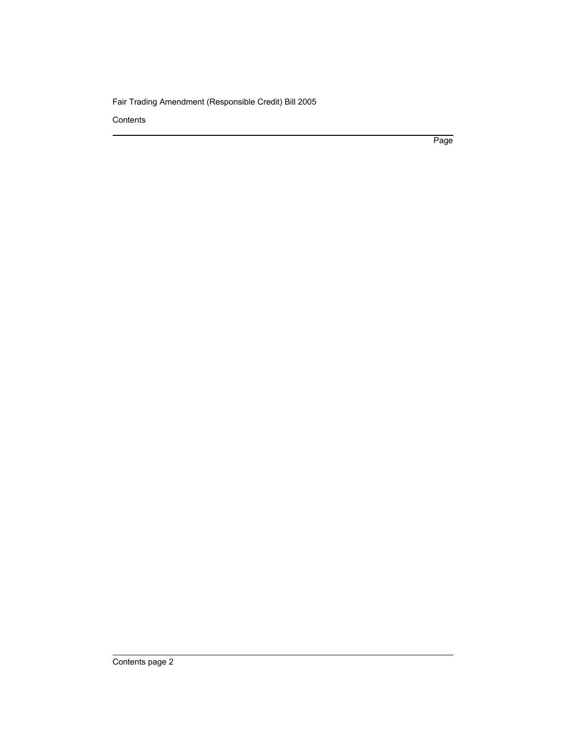**Contents** 

Page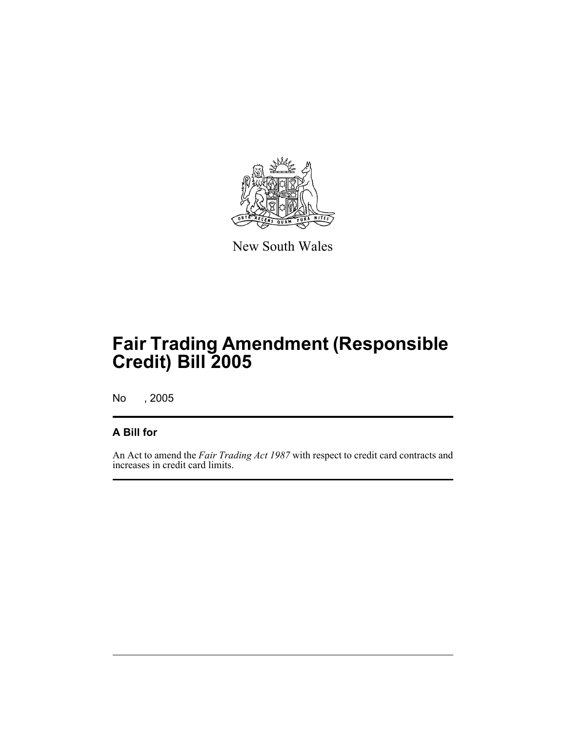

New South Wales

No , 2005

### **A Bill for**

An Act to amend the *Fair Trading Act 1987* with respect to credit card contracts and increases in credit card limits.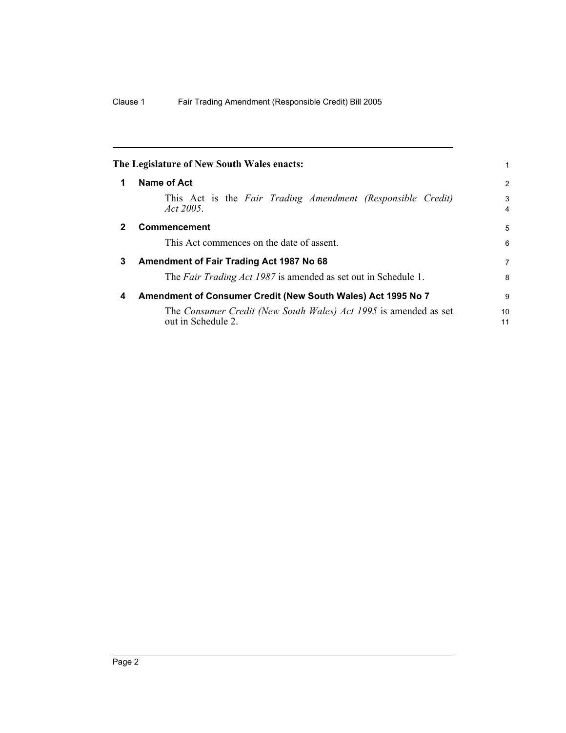<span id="page-5-2"></span><span id="page-5-1"></span><span id="page-5-0"></span>

|              | The Legislature of New South Wales enacts:                                             |          |
|--------------|----------------------------------------------------------------------------------------|----------|
| 1            | Name of Act                                                                            | 2        |
|              | This Act is the Fair Trading Amendment (Responsible Credit)<br>Act 2005.               | 3<br>4   |
| $\mathbf{2}$ | <b>Commencement</b>                                                                    | 5        |
|              | This Act commences on the date of assent.                                              | 6        |
| 3            | Amendment of Fair Trading Act 1987 No 68                                               | 7        |
|              | The Fair Trading Act 1987 is amended as set out in Schedule 1.                         | 8        |
| 4            | Amendment of Consumer Credit (New South Wales) Act 1995 No 7                           | 9        |
|              | The Consumer Credit (New South Wales) Act 1995 is amended as set<br>out in Schedule 2. | 10<br>11 |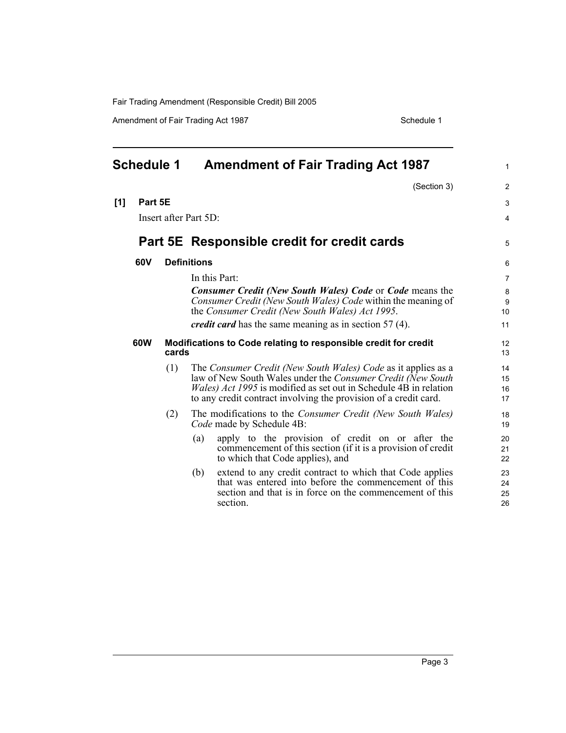Amendment of Fair Trading Act 1987 Schedule 1

<span id="page-6-0"></span>

| <b>Schedule 1</b> |         |                       |                    | <b>Amendment of Fair Trading Act 1987</b>                                                                                               | $\mathbf{1}$   |
|-------------------|---------|-----------------------|--------------------|-----------------------------------------------------------------------------------------------------------------------------------------|----------------|
|                   |         |                       |                    | (Section 3)                                                                                                                             | $\overline{2}$ |
| [1]               | Part 5E |                       |                    |                                                                                                                                         | 3              |
|                   |         | Insert after Part 5D: |                    |                                                                                                                                         | 4              |
|                   |         |                       |                    | Part 5E Responsible credit for credit cards                                                                                             | 5              |
|                   | 60V     |                       | <b>Definitions</b> |                                                                                                                                         | 6              |
|                   |         |                       |                    | In this Part:                                                                                                                           | $\overline{7}$ |
|                   |         |                       |                    | <b>Consumer Credit (New South Wales) Code or Code means the</b>                                                                         | 8              |
|                   |         |                       |                    | Consumer Credit (New South Wales) Code within the meaning of<br>the Consumer Credit (New South Wales) Act 1995.                         | 9<br>10        |
|                   |         |                       |                    | <i>credit card</i> has the same meaning as in section 57 (4).                                                                           | 11             |
|                   | 60W     | cards                 |                    | Modifications to Code relating to responsible credit for credit                                                                         | 12<br>13       |
|                   |         | (1)                   |                    | The Consumer Credit (New South Wales) Code as it applies as a                                                                           | 14             |
|                   |         |                       |                    | law of New South Wales under the Consumer Credit (New South<br><i>Wales) Act 1995</i> is modified as set out in Schedule 4B in relation | 15<br>16       |
|                   |         |                       |                    | to any credit contract involving the provision of a credit card.                                                                        | 17             |
|                   |         | (2)                   |                    | The modifications to the <i>Consumer Credit (New South Wales)</i><br>Code made by Schedule 4B:                                          | 18<br>19       |
|                   |         |                       | (a)                | apply to the provision of credit on or after the                                                                                        | 20             |
|                   |         |                       |                    | commencement of this section (if it is a provision of credit<br>to which that Code applies), and                                        | 21<br>22       |
|                   |         |                       | (b)                | extend to any credit contract to which that Code applies                                                                                | 23             |
|                   |         |                       |                    | that was entered into before the commencement of this                                                                                   | 24             |
|                   |         |                       |                    | section and that is in force on the commencement of this<br>section.                                                                    | 25<br>26       |
|                   |         |                       |                    |                                                                                                                                         |                |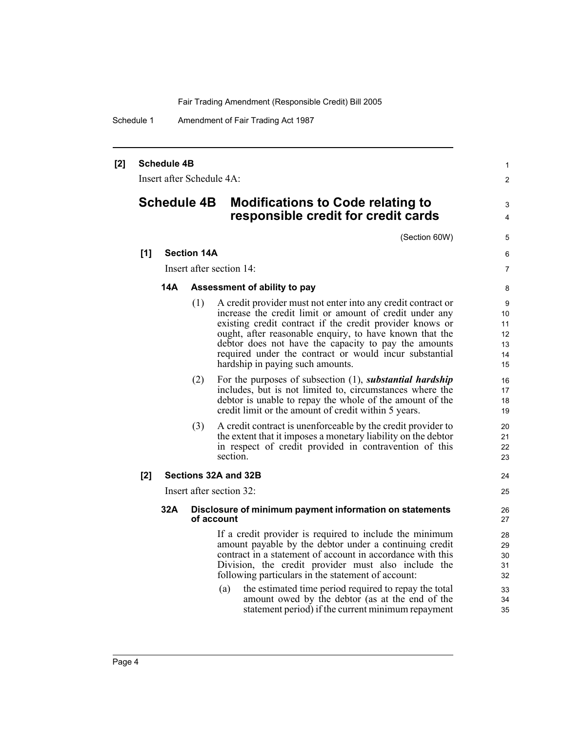Schedule 1 Amendment of Fair Trading Act 1987

#### **[2] Schedule 4B**

Insert after Schedule 4A:

### **Schedule 4B Modifications to Code relating to responsible credit for credit cards**

(Section 60W)

7 8

24 25

1  $\mathfrak{p}$ 

3 4

5 6

#### **[1] Section 14A**

Insert after section 14:

#### **14A Assessment of ability to pay**

- (1) A credit provider must not enter into any credit contract or increase the credit limit or amount of credit under any existing credit contract if the credit provider knows or ought, after reasonable enquiry, to have known that the debtor does not have the capacity to pay the amounts required under the contract or would incur substantial hardship in paying such amounts.
- (2) For the purposes of subsection (1), *substantial hardship* includes, but is not limited to, circumstances where the debtor is unable to repay the whole of the amount of the credit limit or the amount of credit within 5 years.
- (3) A credit contract is unenforceable by the credit provider to the extent that it imposes a monetary liability on the debtor in respect of credit provided in contravention of this section.

#### **[2] Sections 32A and 32B**

Insert after section 32:

#### **32A Disclosure of minimum payment information on statements of account**

If a credit provider is required to include the minimum amount payable by the debtor under a continuing credit contract in a statement of account in accordance with this Division, the credit provider must also include the following particulars in the statement of account:

(a) the estimated time period required to repay the total amount owed by the debtor (as at the end of the statement period) if the current minimum repayment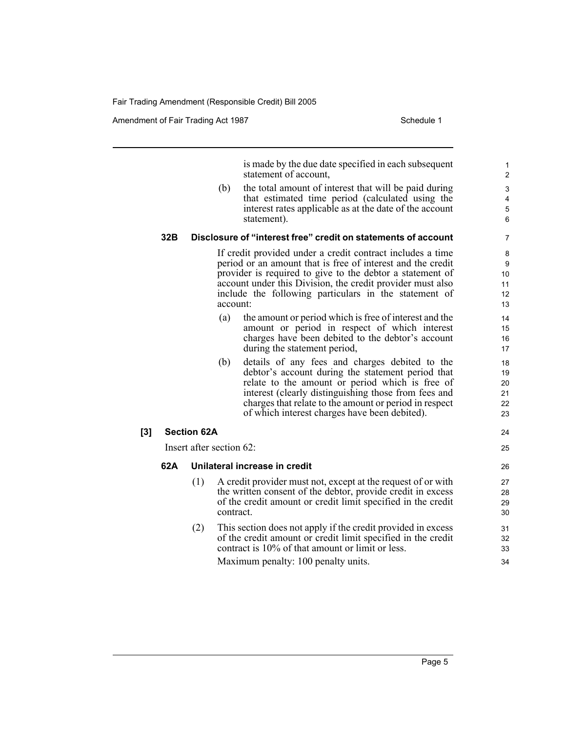Amendment of Fair Trading Act 1987 Schedule 1

24 25

is made by the due date specified in each subsequent statement of account,

(b) the total amount of interest that will be paid during that estimated time period (calculated using the interest rates applicable as at the date of the account statement).

#### **32B Disclosure of "interest free" credit on statements of account**

If credit provided under a credit contract includes a time period or an amount that is free of interest and the credit provider is required to give to the debtor a statement of account under this Division, the credit provider must also include the following particulars in the statement of account:

- (a) the amount or period which is free of interest and the amount or period in respect of which interest charges have been debited to the debtor's account during the statement period,
- (b) details of any fees and charges debited to the debtor's account during the statement period that relate to the amount or period which is free of interest (clearly distinguishing those from fees and charges that relate to the amount or period in respect of which interest charges have been debited).

### **[3] Section 62A**

Insert after section 62:

#### **62A Unilateral increase in credit**

- (1) A credit provider must not, except at the request of or with the written consent of the debtor, provide credit in excess of the credit amount or credit limit specified in the credit contract.
- (2) This section does not apply if the credit provided in excess of the credit amount or credit limit specified in the credit contract is 10% of that amount or limit or less. Maximum penalty: 100 penalty units.